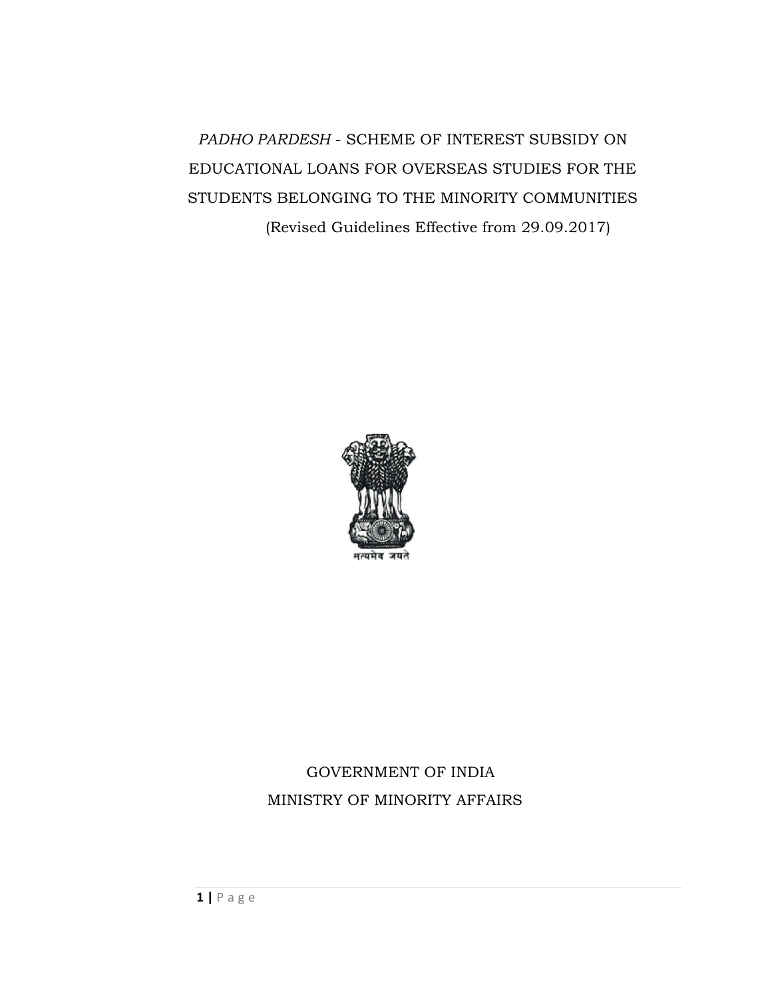*PADHO PARDESH* - SCHEME OF INTEREST SUBSIDY ON EDUCATIONAL LOANS FOR OVERSEAS STUDIES FOR THE STUDENTS BELONGING TO THE MINORITY COMMUNITIES (Revised Guidelines Effective from 29.09.2017)



## GOVERNMENT OF INDIA MINISTRY OF MINORITY AFFAIRS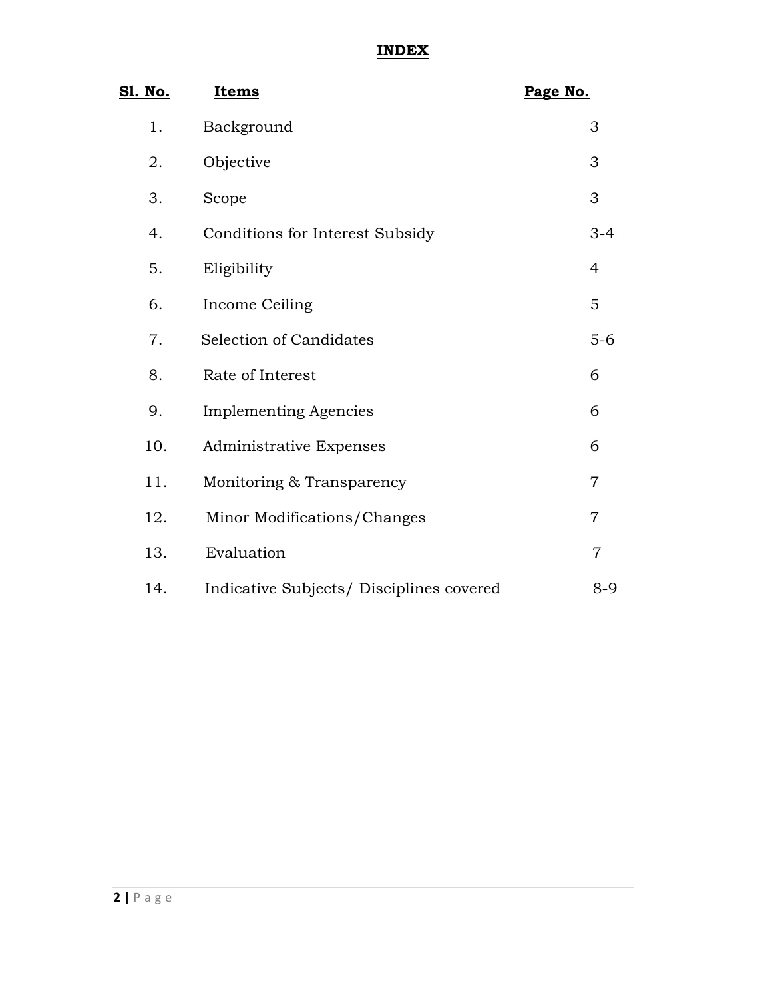## **INDEX**

| <u>Sl. No.</u> | Items                                    | Page No.       |
|----------------|------------------------------------------|----------------|
| 1.             | Background                               | 3              |
| 2.             | Objective                                | 3              |
| 3.             | Scope                                    | 3              |
| 4.             | <b>Conditions for Interest Subsidy</b>   | $3 - 4$        |
| 5.             | Eligibility                              | $\overline{4}$ |
| 6.             | Income Ceiling                           | 5              |
| 7.             | <b>Selection of Candidates</b>           | $5-6$          |
| 8.             | Rate of Interest                         | 6              |
| 9.             | <b>Implementing Agencies</b>             | 6              |
| 10.            | Administrative Expenses                  | 6              |
| 11.            | Monitoring & Transparency                | $\overline{7}$ |
| 12.            | Minor Modifications/Changes              | $\overline{7}$ |
| 13.            | Evaluation                               | $\overline{7}$ |
| 14.            | Indicative Subjects/ Disciplines covered | $8 - 9$        |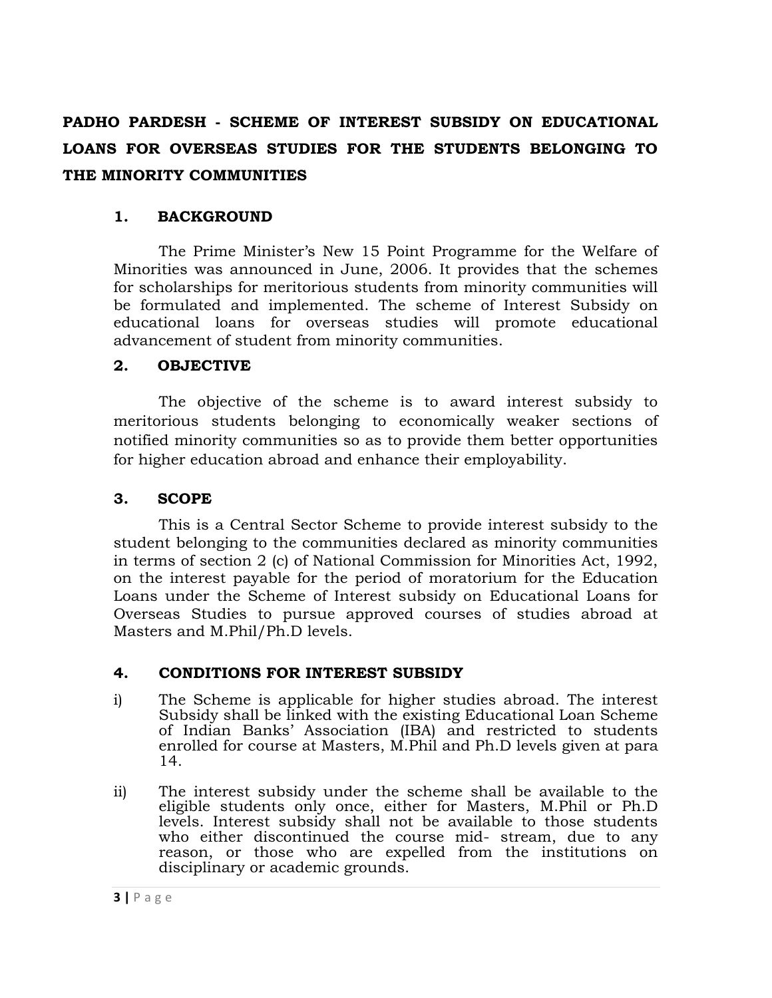# **PADHO PARDESH - SCHEME OF INTEREST SUBSIDY ON EDUCATIONAL LOANS FOR OVERSEAS STUDIES FOR THE STUDENTS BELONGING TO THE MINORITY COMMUNITIES**

#### **1. BACKGROUND**

The Prime Minister's New 15 Point Programme for the Welfare of Minorities was announced in June, 2006. It provides that the schemes for scholarships for meritorious students from minority communities will be formulated and implemented. The scheme of Interest Subsidy on educational loans for overseas studies will promote educational advancement of student from minority communities.

#### **2. OBJECTIVE**

The objective of the scheme is to award interest subsidy to meritorious students belonging to economically weaker sections of notified minority communities so as to provide them better opportunities for higher education abroad and enhance their employability.

## **3. SCOPE**

This is a Central Sector Scheme to provide interest subsidy to the student belonging to the communities declared as minority communities in terms of section 2 (c) of National Commission for Minorities Act, 1992, on the interest payable for the period of moratorium for the Education Loans under the Scheme of Interest subsidy on Educational Loans for Overseas Studies to pursue approved courses of studies abroad at Masters and M.Phil/Ph.D levels.

#### **4. CONDITIONS FOR INTEREST SUBSIDY**

- i) The Scheme is applicable for higher studies abroad. The interest Subsidy shall be linked with the existing Educational Loan Scheme of Indian Banks' Association (IBA) and restricted to students enrolled for course at Masters, M.Phil and Ph.D levels given at para 14.
- ii) The interest subsidy under the scheme shall be available to the eligible students only once, either for Masters, M.Phil or Ph.D levels. Interest subsidy shall not be available to those students who either discontinued the course mid- stream, due to any reason, or those who are expelled from the institutions on disciplinary or academic grounds.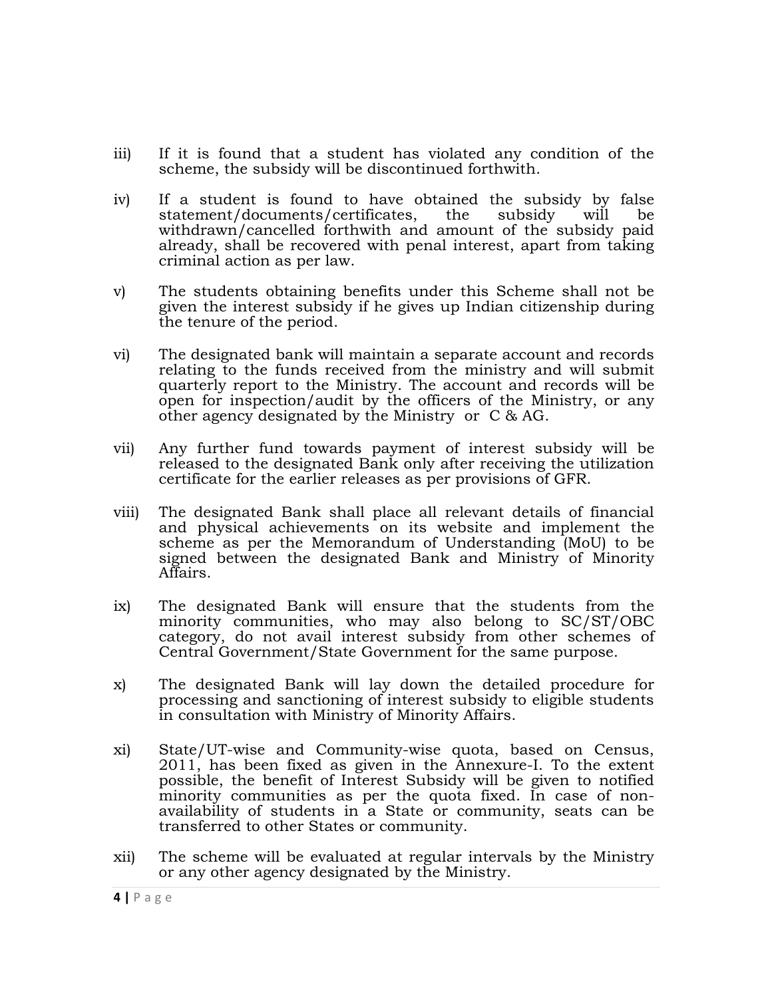- iii) If it is found that a student has violated any condition of the scheme, the subsidy will be discontinued forthwith.
- iv) If a student is found to have obtained the subsidy by false statement/documents/certificates, the subsidy will be withdrawn/cancelled forthwith and amount of the subsidy paid already, shall be recovered with penal interest, apart from taking criminal action as per law.
- v) The students obtaining benefits under this Scheme shall not be given the interest subsidy if he gives up Indian citizenship during the tenure of the period.
- vi) The designated bank will maintain a separate account and records relating to the funds received from the ministry and will submit quarterly report to the Ministry. The account and records will be open for inspection/audit by the officers of the Ministry, or any other agency designated by the Ministry or C & AG.
- vii) Any further fund towards payment of interest subsidy will be released to the designated Bank only after receiving the utilization certificate for the earlier releases as per provisions of GFR.
- viii) The designated Bank shall place all relevant details of financial and physical achievements on its website and implement the scheme as per the Memorandum of Understanding (MoU) to be signed between the designated Bank and Ministry of Minority Affairs.
- ix) The designated Bank will ensure that the students from the minority communities, who may also belong to SC/ST/OBC category, do not avail interest subsidy from other schemes of Central Government/State Government for the same purpose.
- x) The designated Bank will lay down the detailed procedure for processing and sanctioning of interest subsidy to eligible students in consultation with Ministry of Minority Affairs.
- xi) State/UT-wise and Community-wise quota, based on Census, 2011, has been fixed as given in the Annexure-I. To the extent possible, the benefit of Interest Subsidy will be given to notified minority communities as per the quota fixed. In case of nonavailability of students in a State or community, seats can be transferred to other States or community.
- xii) The scheme will be evaluated at regular intervals by the Ministry or any other agency designated by the Ministry.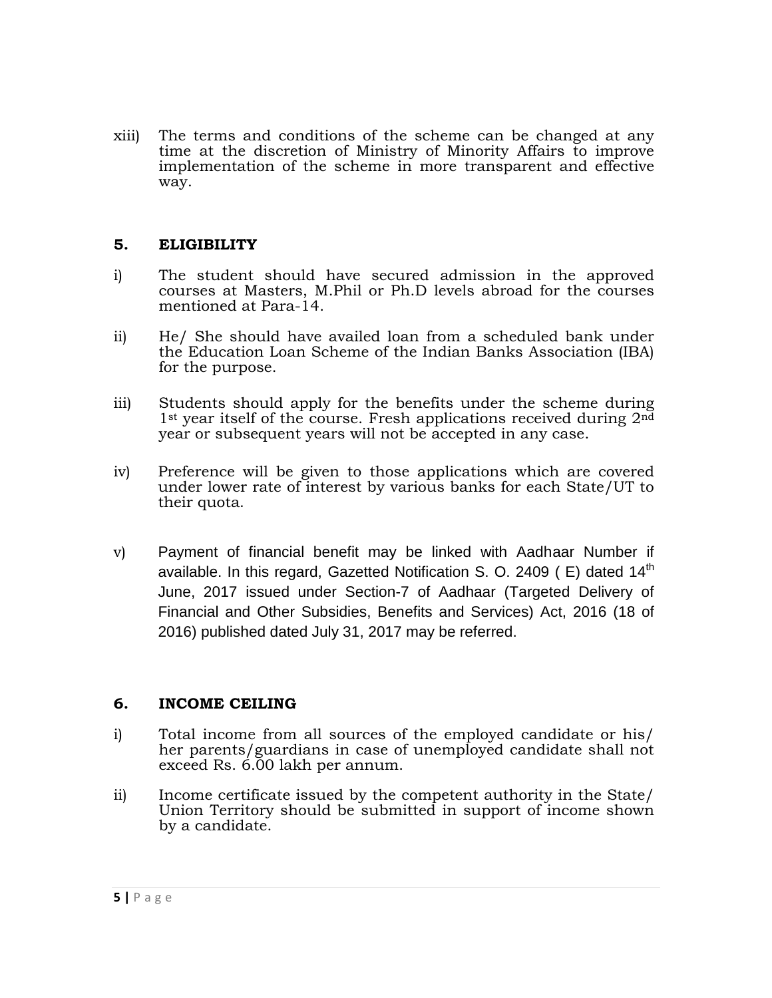xiii) The terms and conditions of the scheme can be changed at any time at the discretion of Ministry of Minority Affairs to improve implementation of the scheme in more transparent and effective way.

#### **5. ELIGIBILITY**

- i) The student should have secured admission in the approved courses at Masters, M.Phil or Ph.D levels abroad for the courses mentioned at Para-14.
- ii) He/ She should have availed loan from a scheduled bank under the Education Loan Scheme of the Indian Banks Association (IBA) for the purpose.
- iii) Students should apply for the benefits under the scheme during 1<sup>st</sup> year itself of the course. Fresh applications received during 2<sup>nd</sup> year or subsequent years will not be accepted in any case.
- iv) Preference will be given to those applications which are covered under lower rate of interest by various banks for each State/UT to their quota.
- v) Payment of financial benefit may be linked with Aadhaar Number if available. In this regard, Gazetted Notification S. O. 2409 ( $E$ ) dated 14<sup>th</sup> June, 2017 issued under Section-7 of Aadhaar (Targeted Delivery of Financial and Other Subsidies, Benefits and Services) Act, 2016 (18 of 2016) published dated July 31, 2017 may be referred.

## **6. INCOME CEILING**

- i) Total income from all sources of the employed candidate or his/ her parents/guardians in case of unemployed candidate shall not exceed Rs. 6.00 lakh per annum.
- ii) Income certificate issued by the competent authority in the State/ Union Territory should be submitted in support of income shown by a candidate.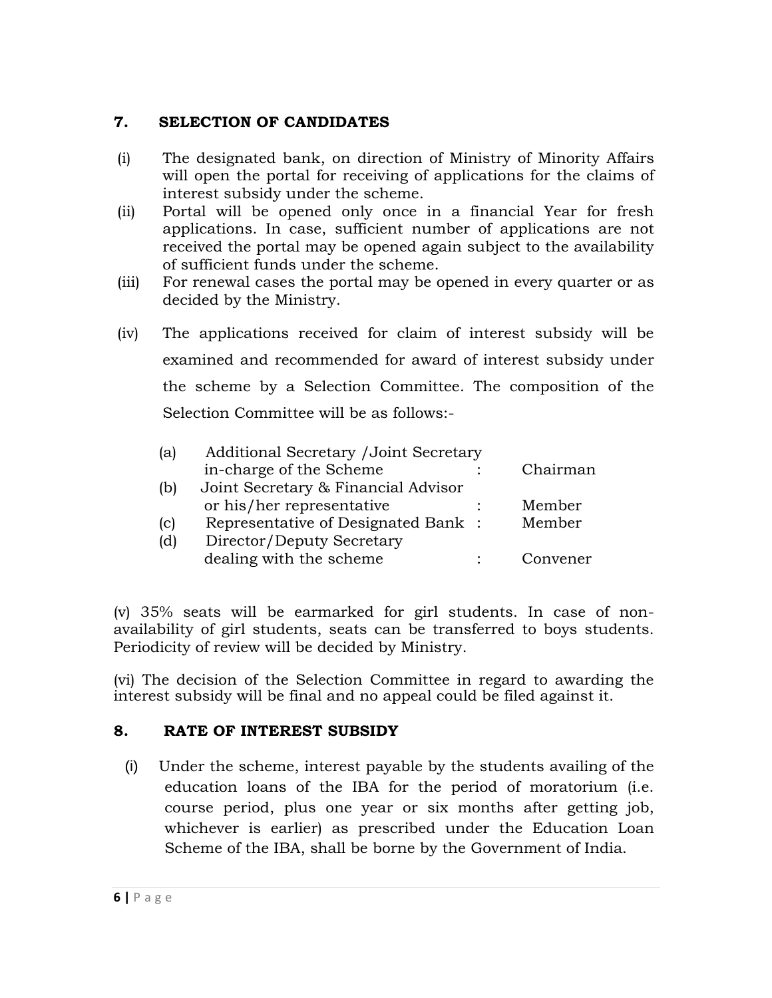## **7. SELECTION OF CANDIDATES**

- (i) The designated bank, on direction of Ministry of Minority Affairs will open the portal for receiving of applications for the claims of interest subsidy under the scheme.
- (ii) Portal will be opened only once in a financial Year for fresh applications. In case, sufficient number of applications are not received the portal may be opened again subject to the availability of sufficient funds under the scheme.
- (iii) For renewal cases the portal may be opened in every quarter or as decided by the Ministry.
- (iv) The applications received for claim of interest subsidy will be examined and recommended for award of interest subsidy under the scheme by a Selection Committee. The composition of the Selection Committee will be as follows:-

| (a) | Additional Secretary / Joint Secretary |          |
|-----|----------------------------------------|----------|
|     | in-charge of the Scheme                | Chairman |
| (b) | Joint Secretary & Financial Advisor    |          |
|     | or his/her representative              | Member   |
| (c) | Representative of Designated Bank :    | Member   |
| (d) | Director/Deputy Secretary              |          |
|     | dealing with the scheme                | Convener |

(v) 35% seats will be earmarked for girl students. In case of nonavailability of girl students, seats can be transferred to boys students. Periodicity of review will be decided by Ministry.

(vi) The decision of the Selection Committee in regard to awarding the interest subsidy will be final and no appeal could be filed against it.

## **8. RATE OF INTEREST SUBSIDY**

(i) Under the scheme, interest payable by the students availing of the education loans of the IBA for the period of moratorium (i.e. course period, plus one year or six months after getting job, whichever is earlier) as prescribed under the Education Loan Scheme of the IBA, shall be borne by the Government of India.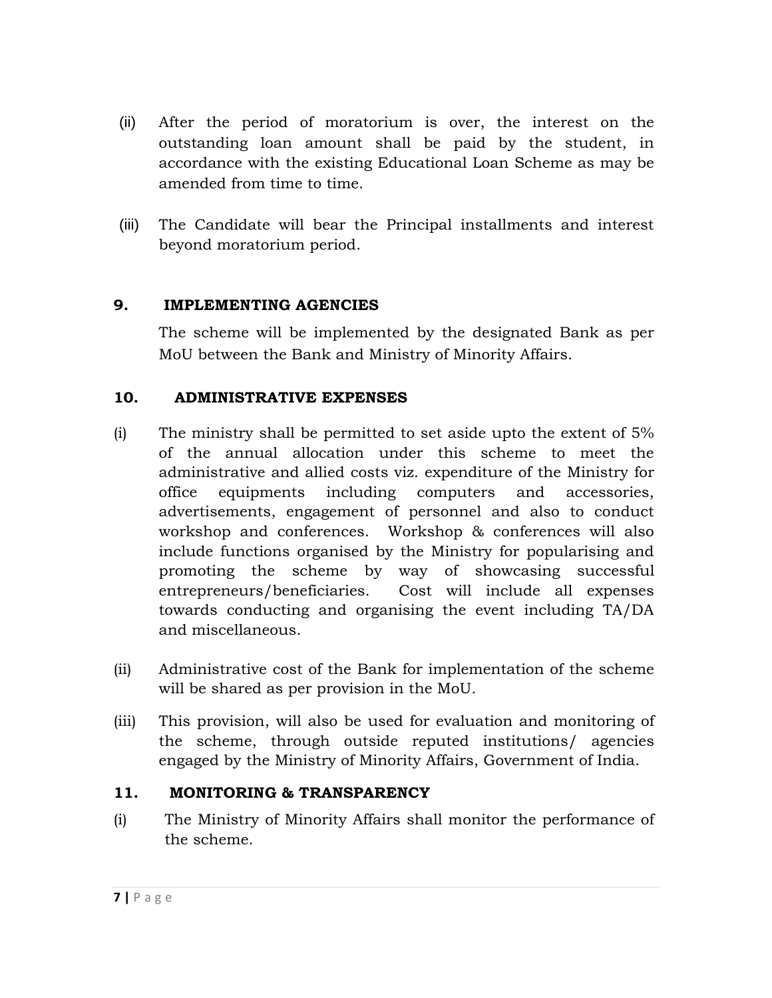- (ii) After the period of moratorium is over, the interest on the outstanding loan amount shall be paid by the student, in accordance with the existing Educational Loan Scheme as may be amended from time to time.
- (iii) The Candidate will bear the Principal installments and interest beyond moratorium period.

## **9. IMPLEMENTING AGENCIES**

The scheme will be implemented by the designated Bank as per MoU between the Bank and Ministry of Minority Affairs.

## **10. ADMINISTRATIVE EXPENSES**

- (i) The ministry shall be permitted to set aside upto the extent of 5% of the annual allocation under this scheme to meet the administrative and allied costs viz. expenditure of the Ministry for office equipments including computers and accessories, advertisements, engagement of personnel and also to conduct workshop and conferences. Workshop & conferences will also include functions organised by the Ministry for popularising and promoting the scheme by way of showcasing successful entrepreneurs/beneficiaries. Cost will include all expenses towards conducting and organising the event including TA/DA and miscellaneous.
- (ii) Administrative cost of the Bank for implementation of the scheme will be shared as per provision in the MoU.
- (iii) This provision, will also be used for evaluation and monitoring of the scheme, through outside reputed institutions/ agencies engaged by the Ministry of Minority Affairs, Government of India.

## **11. MONITORING & TRANSPARENCY**

(i) The Ministry of Minority Affairs shall monitor the performance of the scheme.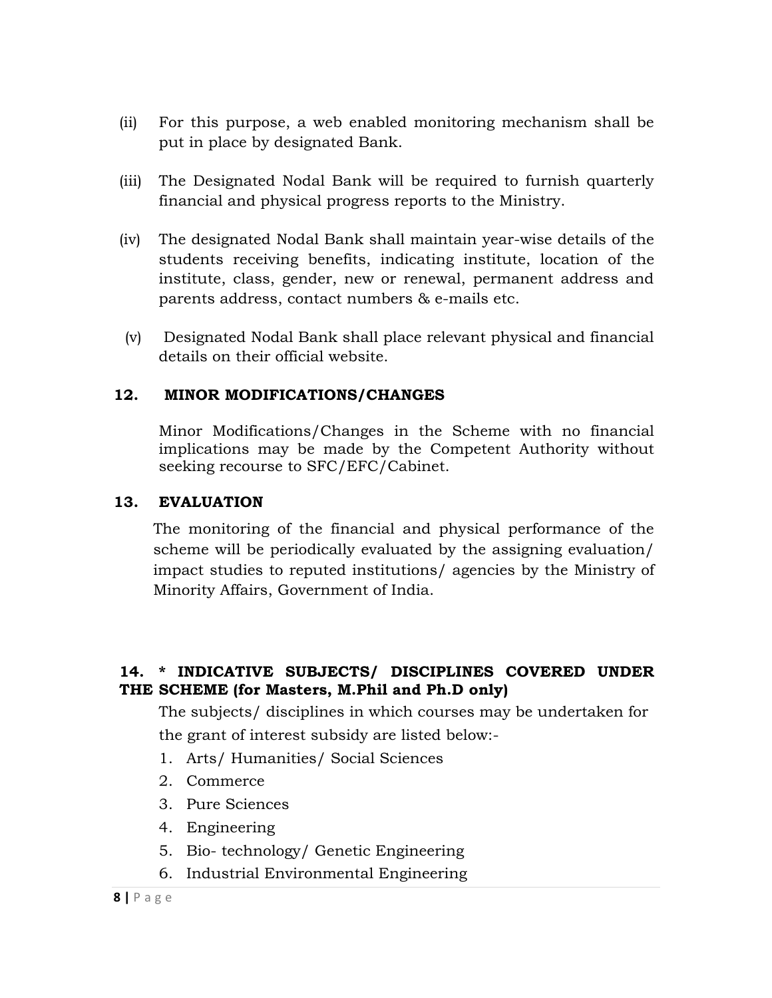- (ii) For this purpose, a web enabled monitoring mechanism shall be put in place by designated Bank.
- (iii) The Designated Nodal Bank will be required to furnish quarterly financial and physical progress reports to the Ministry.
- (iv) The designated Nodal Bank shall maintain year-wise details of the students receiving benefits, indicating institute, location of the institute, class, gender, new or renewal, permanent address and parents address, contact numbers & e-mails etc.
- (v) Designated Nodal Bank shall place relevant physical and financial details on their official website.

### **12. MINOR MODIFICATIONS/CHANGES**

Minor Modifications/Changes in the Scheme with no financial implications may be made by the Competent Authority without seeking recourse to SFC/EFC/Cabinet.

#### **13. EVALUATION**

The monitoring of the financial and physical performance of the scheme will be periodically evaluated by the assigning evaluation/ impact studies to reputed institutions/ agencies by the Ministry of Minority Affairs, Government of India.

### **14. \* INDICATIVE SUBJECTS/ DISCIPLINES COVERED UNDER THE SCHEME (for Masters, M.Phil and Ph.D only)**

The subjects/ disciplines in which courses may be undertaken for the grant of interest subsidy are listed below:-

- 1. Arts/ Humanities/ Social Sciences
- 2. Commerce
- 3. Pure Sciences
- 4. Engineering
- 5. Bio- technology/ Genetic Engineering
- 6. Industrial Environmental Engineering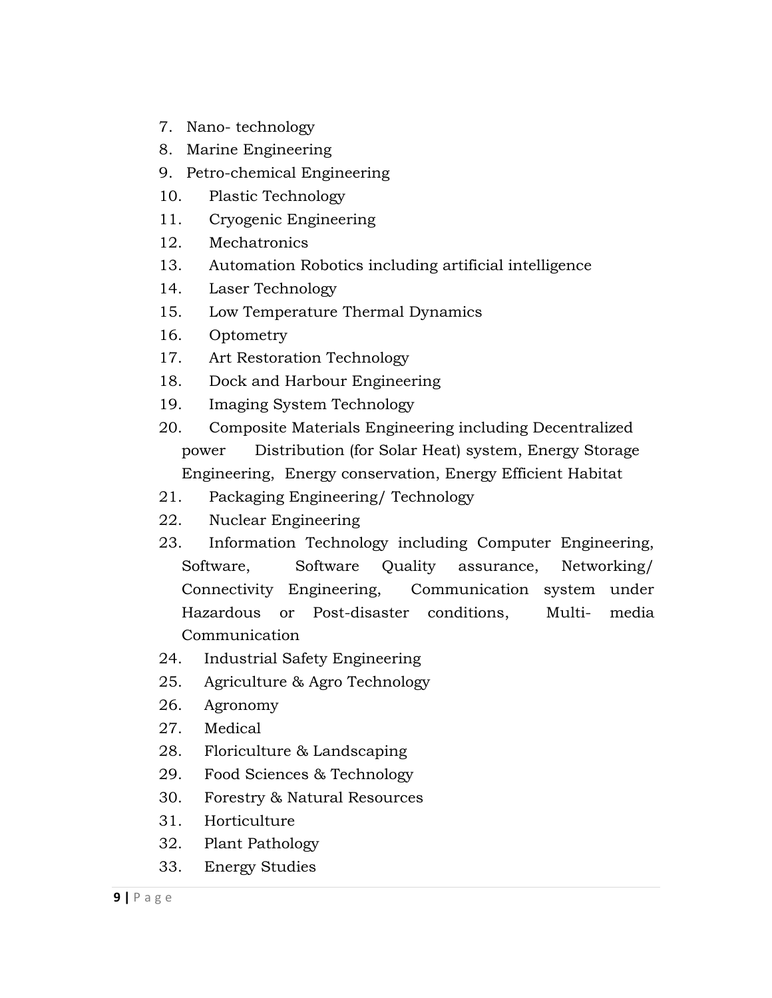- 7. Nano- technology
- 8. Marine Engineering
- 9. Petro-chemical Engineering
- 10. Plastic Technology
- 11. Cryogenic Engineering
- 12. Mechatronics
- 13. Automation Robotics including artificial intelligence
- 14. Laser Technology
- 15. Low Temperature Thermal Dynamics
- 16. Optometry
- 17. Art Restoration Technology
- 18. Dock and Harbour Engineering
- 19. Imaging System Technology
- 20. Composite Materials Engineering including Decentralized power Distribution (for Solar Heat) system, Energy Storage Engineering, Energy conservation, Energy Efficient Habitat
- 21. Packaging Engineering/ Technology
- 22. Nuclear Engineering
- 23. Information Technology including Computer Engineering, Software, Software Quality assurance, Networking/ Connectivity Engineering, Communication system under Hazardous or Post-disaster conditions, Multi- media Communication
- 24. Industrial Safety Engineering
- 25. Agriculture & Agro Technology
- 26. Agronomy
- 27. Medical
- 28. Floriculture & Landscaping
- 29. Food Sciences & Technology
- 30. Forestry & Natural Resources
- 31. Horticulture
- 32. Plant Pathology
- 33. Energy Studies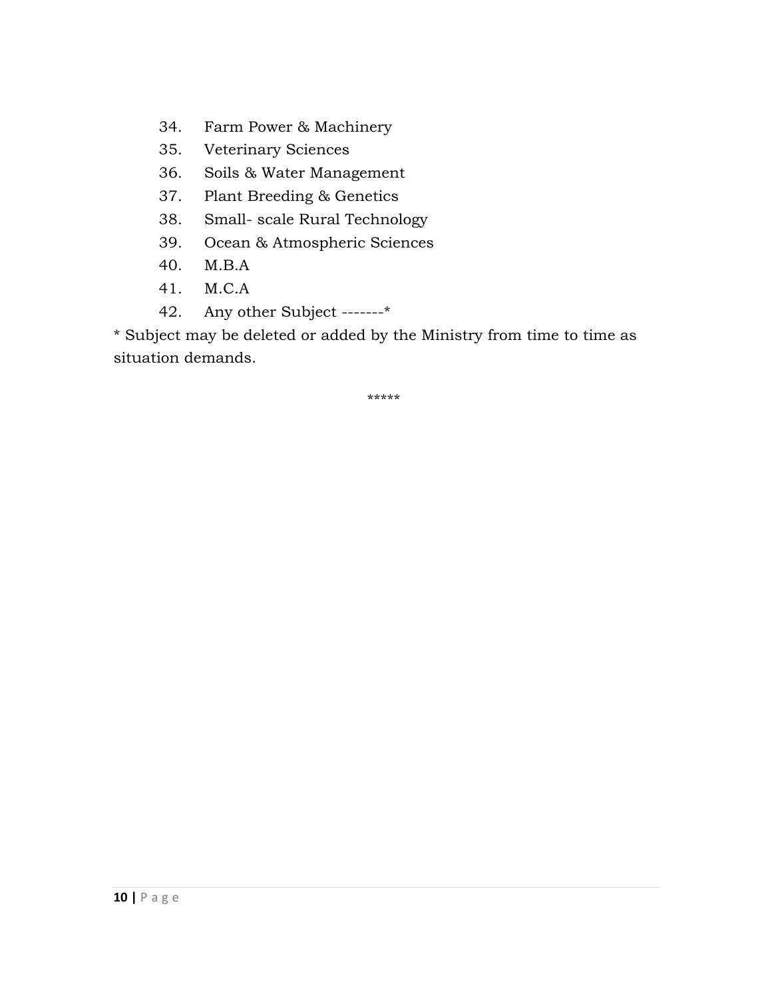- 34. Farm Power & Machinery
- 35. Veterinary Sciences
- 36. Soils & Water Management
- 37. Plant Breeding & Genetics
- 38. Small- scale Rural Technology
- 39. Ocean & Atmospheric Sciences
- 40. M.B.A
- 41. M.C.A
- 42. Any other Subject -------\*

\* Subject may be deleted or added by the Ministry from time to time as situation demands.

\*\*\*\*\*